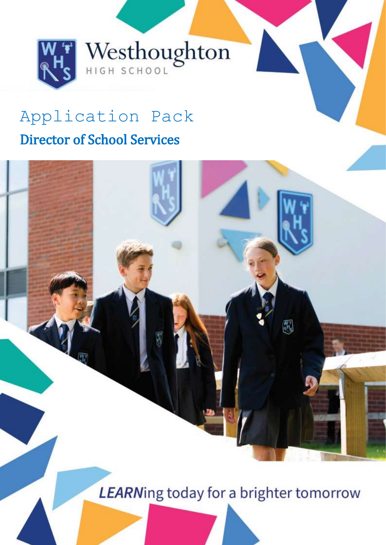

# Application Pack Director of School Services

# 蟹

LEARNing today for a brighter tomorrow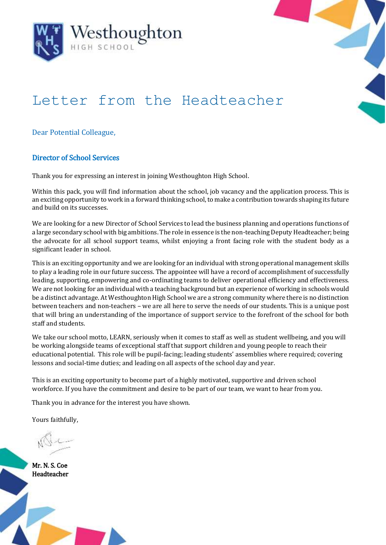

# Letter from the Headteacher

Dear Potential Colleague,

## Director of School Services

Thank you for expressing an interest in joining Westhoughton High School.

Within this pack, you will find information about the school, job vacancy and the application process. This is an exciting opportunity to work in a forward thinking school, to make a contribution towards shaping its future and build on its successes.

We are looking for a new Director of School Services to lead the business planning and operations functions of a large secondary school with big ambitions. The role in essence is the non-teaching Deputy Headteacher; being the advocate for all school support teams, whilst enjoying a front facing role with the student body as a significant leader in school.

This is an exciting opportunity and we are looking for an individual with strong operational management skills to play a leading role in our future success. The appointee will have a record of accomplishment of successfully leading, supporting, empowering and co-ordinating teams to deliver operational efficiency and effectiveness. We are not looking for an individual with a teaching background but an experience of working in schools would be a distinct advantage. At Westhoughton High School we are a strong community where there is no distinction between teachers and non-teachers – we are all here to serve the needs of our students. This is a unique post that will bring an understanding of the importance of support service to the forefront of the school for both staff and students.

We take our school motto, LEARN, seriously when it comes to staff as well as student wellbeing, and you will be working alongside teams of exceptional staff that support children and young people to reach their educational potential. This role will be pupil-facing; leading students' assemblies where required; covering lessons and social-time duties; and leading on all aspects of the school day and year.

This is an exciting opportunity to become part of a highly motivated, supportive and driven school workforce. If you have the commitment and desire to be part of our team, we want to hear from you.

Thank you in advance for the interest you have shown.

Yours faithfully,

Mr. N. S. Coe Headteacher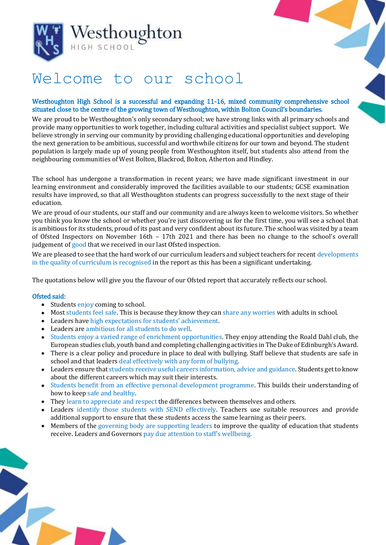

## Welcome to our school

## Westhoughton High School is a successful and expanding 11-16, mixed community comprehensive school situated close to the centre of the growing town of Westhoughton, within Bolton Council's boundaries.

We are proud to be Westhoughton's only secondary school; we have strong links with all primary schools and provide many opportunities to work together, including cultural activities and specialist subject support. We believe strongly in serving our community by providing challenging educational opportunities and developing the next generation to be ambitious, successful and worthwhile citizens for our town and beyond. The student population is largely made up of young people from Westhoughton itself, but students also attend from the neighbouring communities of West Bolton, Blackrod, Bolton, Atherton and Hindley.

The school has undergone a transformation in recent years; we have made significant investment in our learning environment and considerably improved the facilities available to our students; GCSE examination results have improved, so that all Westhoughton students can progress successfully to the next stage of their education.

We are proud of our students, our staff and our community and are always keen to welcome visitors. So whether you think you know the school or whether you're just discovering us for the first time, you will see a school that is ambitious for its students, proud of its past and very confident about its future. The school was visited by a team of Ofsted Inspectors on November 16th – 17th 2021 and there has been no change to the school's overall judgement of good that we received in our last Ofsted inspection.

We are pleased to see that the hard work of our curriculum leaders and subject teachers for recent developments in the quality of curriculum is recognised in the report as this has been a significant undertaking.

The quotations below will give you the flavour of our Ofsted report that accurately reflects our school.

#### Ofsted said:

- Students enjoy coming to school.
- Most students feel safe. This is because they know they can share any worries with adults in school.
- Leaders have high expectations for students' achievement.
- Leaders are ambitious for all students to do well.
- Students enjoy a varied range of enrichment opportunities. They enjoy attending the Roald Dahl club, the European studies club, youth band and completing challenging activities in The Duke of Edinburgh's Award.
- There is a clear policy and procedure in place to deal with bullying. Staff believe that students are safe in school and that leaders deal effectively with any form of bullying.
- Leaders ensure that students receive useful careers information, advice and guidance. Students get to know about the different careers which may suit their interests.
- Students benefit from an effective personal development programme. This builds their understanding of how to keep safe and healthy.
- They learn to appreciate and respect the differences between themselves and others.
- Leaders identify those students with SEND effectively. Teachers use suitable resources and provide additional support to ensure that these students access the same learning as their peers.
- Members of the governing body are supporting leaders to improve the quality of education that students receive. Leaders and Governors pay due attention to staff's wellbeing.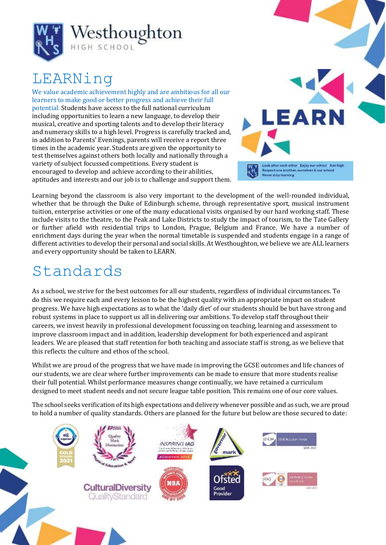

# LEARNing

We value academic achievement highly and are ambitious for all our learners to make good or better progress and achieve their full potential. Students have access to the full national curriculum including opportunities to learn a new language, to develop their musical, creative and sporting talents and to develop their literacy and numeracy skills to a high level. Progress is carefully tracked and, in addition to Parents' Evenings, parents will receive a report three times in the academic year. Students are given the opportunity to test themselves against others both locally and nationally through a variety of subject focussed competitions. Every student is encouraged to develop and achieve according to their abilities, aptitudes and interests and our job is to challenge and support them.



Learning beyond the classroom is also very important to the development of the well-rounded individual, whether that be through the Duke of Edinburgh scheme, through representative sport, musical instrument tuition, enterprise activities or one of the many educational visits organised by our hard working staff. These include visits to the theatre, to the Peak and Lake Districts to study the impact of tourism, to the Tate Gallery or further afield with residential trips to London, Prague, Belgium and France. We have a number of enrichment days during the year when the normal timetable is suspended and students engage in a range of different activities to develop their personal and social skills. At Westhoughton, we believe we are ALL learners and every opportunity should be taken to LEARN.

# Standards

As a school, we strive for the best outcomes for all our students, regardless of individual circumstances. To do this we require each and every lesson to be the highest quality with an appropriate impact on student progress. We have high expectations as to what the 'daily diet' of our students should be but have strong and robust systems in place to support us all in delivering our ambitions. To develop staff throughout their careers, we invest heavily in professional development focussing on teaching, learning and assessment to improve classroom impact and in addition, leadership development for both experienced and aspirant leaders. We are pleased that staff retention for both teaching and associate staff is strong, as we believe that this reflects the culture and ethos of the school.

Whilst we are proud of the progress that we have made in improving the GCSE outcomes and life chances of our students, we are clear where further improvements can be made to ensure that more students realise their full potential. Whilst performance measures change continually, we have retained a curriculum designed to meet student needs and not secure league table position. This remains one of our core values.

The school seeks verification of its high expectations and delivery whenever possible and as such, we are proud to hold a number of quality standards. Others are planned for the future but below are those secured to date:

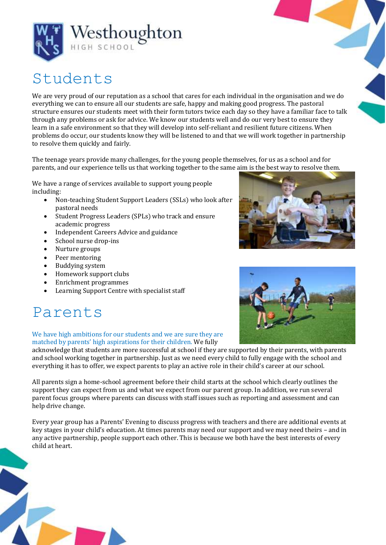

## Students

We are very proud of our reputation as a school that cares for each individual in the organisation and we do everything we can to ensure all our students are safe, happy and making good progress. The pastoral structure ensures our students meet with their form tutors twice each day so they have a familiar face to talk through any problems or ask for advice. We know our students well and do our very best to ensure they learn in a safe environment so that they will develop into self-reliant and resilient future citizens. When problems do occur, our students know they will be listened to and that we will work together in partnership to resolve them quickly and fairly.

The teenage years provide many challenges, for the young people themselves, for us as a school and for parents, and our experience tells us that working together to the same aim is the best way to resolve them.

We have a range of services available to support young people including:

- Non-teaching Student Support Leaders (SSLs) who look after pastoral needs
- Student Progress Leaders (SPLs) who track and ensure academic progress
- Independent Careers Advice and guidance
- School nurse drop-ins
- Nurture groups
- Peer mentoring
- Buddying system
- Homework support clubs
- Enrichment programmes
- Learning Support Centre with specialist staff





## Parents

## We have high ambitions for our students and we are sure they are matched by parents' high aspirations for their children. We fully

acknowledge that students are more successful at school if they are supported by their parents, with parents and school working together in partnership. Just as we need every child to fully engage with the school and everything it has to offer, we expect parents to play an active role in their child's career at our school.

All parents sign a home-school agreement before their child starts at the school which clearly outlines the support they can expect from us and what we expect from our parent group. In addition, we run several parent focus groups where parents can discuss with staff issues such as reporting and assessment and can help drive change.

Every year group has a Parents' Evening to discuss progress with teachers and there are additional events at key stages in your child's education. At times parents may need our support and we may need theirs – and in any active partnership, people support each other. This is because we both have the best interests of every child at heart.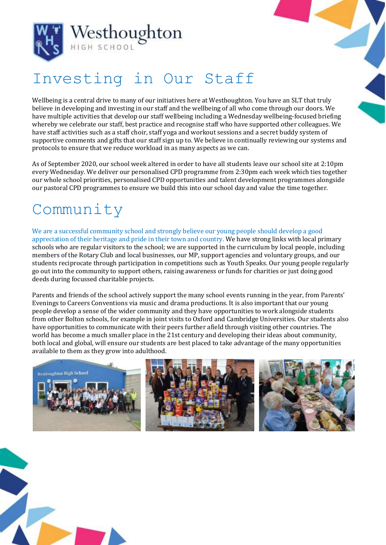

# Investing in Our Staff

Wellbeing is a central drive to many of our initiatives here at Westhoughton. You have an SLT that truly believe in developing and investing in our staff and the wellbeing of all who come through our doors. We have multiple activities that develop our staff wellbeing including a Wednesday wellbeing-focused briefing whereby we celebrate our staff, best practice and recognise staff who have supported other colleagues. We have staff activities such as a staff choir, staff yoga and workout sessions and a secret buddy system of supportive comments and gifts that our staff sign up to. We believe in continually reviewing our systems and protocols to ensure that we reduce workload in as many aspects as we can.

As of September 2020, our school week altered in order to have all students leave our school site at 2:10pm every Wednesday. We deliver our personalised CPD programme from 2:30pm each week which ties together our whole school priorities, personalised CPD opportunities and talent development programmes alongside our pastoral CPD programmes to ensure we build this into our school day and value the time together.

# Community

We are a successful community school and strongly believe our young people should develop a good appreciation of their heritage and pride in their town and country. We have strong links with local primary schools who are regular visitors to the school; we are supported in the curriculum by local people, including members of the Rotary Club and local businesses, our MP, support agencies and voluntary groups, and our students reciprocate through participation in competitions such as Youth Speaks. Our young people regularly go out into the community to support others, raising awareness or funds for charities or just doing good deeds during focussed charitable projects.

Parents and friends of the school actively support the many school events running in the year, from Parents' Evenings to Careers Conventions via music and drama productions. It is also important that our young people develop a sense of the wider community and they have opportunities to work alongside students from other Bolton schools, for example in joint visits to Oxford and Cambridge Universities. Our students also have opportunities to communicate with their peers further afield through visiting other countries. The world has become a much smaller place in the 21st century and developing their ideas about community, both local and global, will ensure our students are best placed to take advantage of the many opportunities available to them as they grow into adulthood.

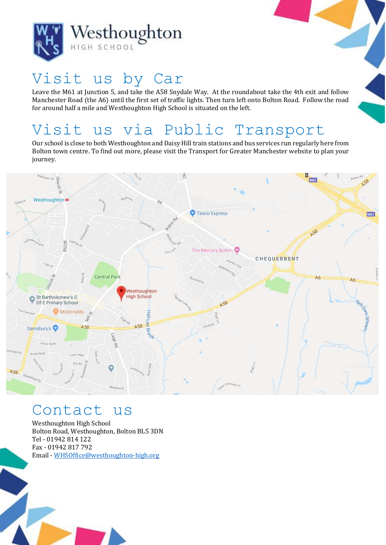

# Visit us by Car

Leave the M61 at Junction 5, and take the A58 Snydale Way. At the roundabout take the 4th exit and follow Manchester Road (the A6) until the first set of traffic lights. Then turn left onto Bolton Road. Follow the road for around half a mile and Westhoughton High School is situated on the left.

# Visit us via Public Transport

Our school is close to both Westhoughton and Daisy Hill train stations and bus services run regularly here from Bolton town centre. To find out more, please visit the Transport for Greater Manchester website to plan your journey.



## Contact us

Westhoughton High School Bolton Road, Westhoughton, Bolton BL5 3DN Tel - 01942 814 122 Fax - 01942 817 792 Email - [WHSOffice@westhoughton-high.org](mailto:WHSOffice@westhoughton-high.org)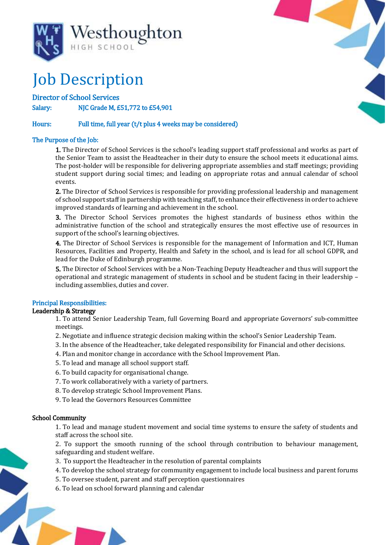

# Job Description

Director of School Services

Salary: NJC Grade M, £51,772 to £54,901

Hours: Full time, full year (t/t plus 4 weeks may be considered)

## The Purpose of the Job:

1. The Director of School Services is the school's leading support staff professional and works as part of the Senior Team to assist the Headteacher in their duty to ensure the school meets it educational aims. The post-holder will be responsible for delivering appropriate assemblies and staff meetings; providing student support during social times; and leading on appropriate rotas and annual calendar of school events.

2. The Director of School Services is responsible for providing professional leadership and management of school support staff in partnership with teaching staff, to enhance their effectiveness in order to achieve improved standards of learning and achievement in the school.

3. The Director School Services promotes the highest standards of business ethos within the administrative function of the school and strategically ensures the most effective use of resources in support of the school's learning objectives.

4. The Director of School Services is responsible for the management of Information and ICT, Human Resources, Facilities and Property, Health and Safety in the school, and is lead for all school GDPR, and lead for the Duke of Edinburgh programme.

5. The Director of School Services with be a Non-Teaching Deputy Headteacher and thus will support the operational and strategic management of students in school and be student facing in their leadership – including assemblies, duties and cover.

## Principal Responsibilities:

## Leadership & Strategy

1. To attend Senior Leadership Team, full Governing Board and appropriate Governors' sub-committee meetings.

- 2. Negotiate and influence strategic decision making within the school's Senior Leadership Team.
- 3. In the absence of the Headteacher, take delegated responsibility for Financial and other decisions.
- 4. Plan and monitor change in accordance with the School Improvement Plan.
- 5. To lead and manage all school support staff.
- 6. To build capacity for organisational change.
- 7. To work collaboratively with a variety of partners.
- 8. To develop strategic School Improvement Plans.
- 9. To lead the Governors Resources Committee

### School Community

1. To lead and manage student movement and social time systems to ensure the safety of students and staff across the school site.

2. To support the smooth running of the school through contribution to behaviour management, safeguarding and student welfare.

- 3. To support the Headteacher in the resolution of parental complaints
- 4. To develop the school strategy for community engagement to include local business and parent forums
- 5. To oversee student, parent and staff perception questionnaires
- 6. To lead on school forward planning and calendar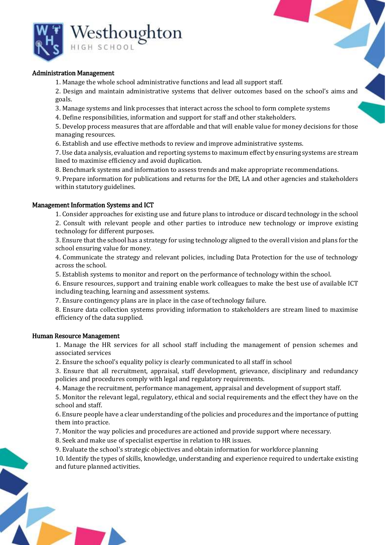

#### Administration Management

1. Manage the whole school administrative functions and lead all support staff.

2. Design and maintain administrative systems that deliver outcomes based on the school's aims and goals.

3. Manage systems and link processes that interact across the school to form complete systems

4. Define responsibilities, information and support for staff and other stakeholders.

5. Develop process measures that are affordable and that will enable value for money decisions for those managing resources.

6. Establish and use effective methods to review and improve administrative systems.

7. Use data analysis, evaluation and reporting systems to maximum effect by ensuring systems are stream lined to maximise efficiency and avoid duplication.

8. Benchmark systems and information to assess trends and make appropriate recommendations.

9. Prepare information for publications and returns for the DfE, LA and other agencies and stakeholders within statutory guidelines.

### Management Information Systems and ICT

1. Consider approaches for existing use and future plans to introduce or discard technology in the school 2. Consult with relevant people and other parties to introduce new technology or improve existing technology for different purposes.

3. Ensure that the school has a strategy for using technology aligned to the overall vision and plans for the school ensuring value for money.

4. Communicate the strategy and relevant policies, including Data Protection for the use of technology across the school.

5. Establish systems to monitor and report on the performance of technology within the school.

6. Ensure resources, support and training enable work colleagues to make the best use of available ICT including teaching, learning and assessment systems.

7. Ensure contingency plans are in place in the case of technology failure.

8. Ensure data collection systems providing information to stakeholders are stream lined to maximise efficiency of the data supplied.

#### Human Resource Management

1. Manage the HR services for all school staff including the management of pension schemes and associated services

2. Ensure the school's equality policy is clearly communicated to all staff in school

3. Ensure that all recruitment, appraisal, staff development, grievance, disciplinary and redundancy policies and procedures comply with legal and regulatory requirements.

4. Manage the recruitment, performance management, appraisal and development of support staff.

5. Monitor the relevant legal, regulatory, ethical and social requirements and the effect they have on the school and staff.

6. Ensure people have a clear understanding of the policies and procedures and the importance of putting them into practice.

- 7. Monitor the way policies and procedures are actioned and provide support where necessary.
- 8. Seek and make use of specialist expertise in relation to HR issues.
- 9. Evaluate the school's strategic objectives and obtain information for workforce planning

10. Identify the types of skills, knowledge, understanding and experience required to undertake existing and future planned activities.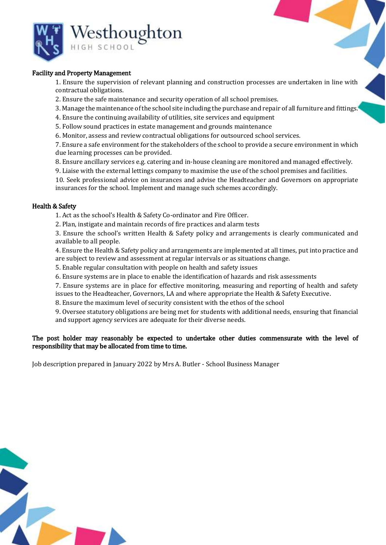

### Facility and Property Management

1. Ensure the supervision of relevant planning and construction processes are undertaken in line with contractual obligations.

2. Ensure the safe maintenance and security operation of all school premises.

- 3. Manage the maintenance of the school site including the purchase and repair of all furniture and fittings.
- 4. Ensure the continuing availability of utilities, site services and equipment
- 5. Follow sound practices in estate management and grounds maintenance
- 6. Monitor, assess and review contractual obligations for outsourced school services.

7. Ensure a safe environment for the stakeholders of the school to provide a secure environment in which due learning processes can be provided.

- 8. Ensure ancillary services e.g. catering and in-house cleaning are monitored and managed effectively.
- 9. Liaise with the external lettings company to maximise the use of the school premises and facilities.

10. Seek professional advice on insurances and advise the Headteacher and Governors on appropriate insurances for the school. Implement and manage such schemes accordingly.

## Health & Safety

- 1. Act as the school's Health & Safety Co-ordinator and Fire Officer.
- 2. Plan, instigate and maintain records of fire practices and alarm tests

3. Ensure the school's written Health & Safety policy and arrangements is clearly communicated and available to all people.

4. Ensure the Health & Safety policy and arrangements are implemented at all times, put into practice and are subject to review and assessment at regular intervals or as situations change.

- 5. Enable regular consultation with people on health and safety issues
- 6. Ensure systems are in place to enable the identification of hazards and risk assessments

7. Ensure systems are in place for effective monitoring, measuring and reporting of health and safety issues to the Headteacher, Governors, LA and where appropriate the Health & Safety Executive.

8. Ensure the maximum level of security consistent with the ethos of the school

9. Oversee statutory obligations are being met for students with additional needs, ensuring that financial and support agency services are adequate for their diverse needs.

## The post holder may reasonably be expected to undertake other duties commensurate with the level of responsibility that may be allocated from time to time.

Job description prepared in January 2022 by Mrs A. Butler - School Business Manager

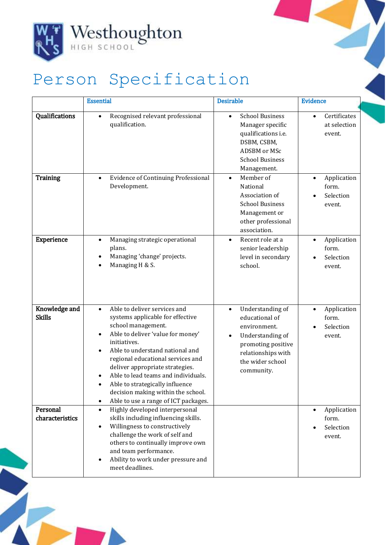

# Person Specification

|                                | <b>Essential</b>                                                                                                                                                                                                                                                                                                                                                                                                                                      | <b>Desirable</b>                                                                                                                                                  | <b>Evidence</b>                                          |
|--------------------------------|-------------------------------------------------------------------------------------------------------------------------------------------------------------------------------------------------------------------------------------------------------------------------------------------------------------------------------------------------------------------------------------------------------------------------------------------------------|-------------------------------------------------------------------------------------------------------------------------------------------------------------------|----------------------------------------------------------|
| Qualifications                 | Recognised relevant professional<br>$\bullet$<br>qualification.                                                                                                                                                                                                                                                                                                                                                                                       | <b>School Business</b><br>$\bullet$<br>Manager specific<br>qualifications i.e.<br>DSBM, CSBM,<br><b>ADSBM</b> or MSc<br><b>School Business</b><br>Management.     | Certificates<br>$\bullet$<br>at selection<br>event.      |
| <b>Training</b>                | <b>Evidence of Continuing Professional</b><br>$\bullet$<br>Development.                                                                                                                                                                                                                                                                                                                                                                               | Member of<br>$\bullet$<br>National<br>Association of<br><b>School Business</b><br>Management or<br>other professional<br>association.                             | Application<br>$\bullet$<br>form.<br>Selection<br>event. |
| Experience                     | Managing strategic operational<br>$\bullet$<br>plans.<br>Managing 'change' projects.<br>Managing H & S.                                                                                                                                                                                                                                                                                                                                               | Recent role at a<br>$\bullet$<br>senior leadership<br>level in secondary<br>school.                                                                               | Application<br>$\bullet$<br>form.<br>Selection<br>event. |
| Knowledge and<br><b>Skills</b> | Able to deliver services and<br>$\bullet$<br>systems applicable for effective<br>school management.<br>Able to deliver 'value for money'<br>$\bullet$<br>initiatives.<br>Able to understand national and<br>regional educational services and<br>deliver appropriate strategies.<br>Able to lead teams and individuals.<br>Able to strategically influence<br>decision making within the school.<br>Able to use a range of ICT packages.<br>$\bullet$ | Understanding of<br>$\bullet$<br>educational of<br>environment.<br>Understanding of<br>promoting positive<br>relationships with<br>the wider school<br>community. | Application<br>$\bullet$<br>form.<br>Selection<br>event. |
| Personal<br>characteristics    | Highly developed interpersonal<br>$\bullet$<br>skills including influencing skills.<br>Willingness to constructively<br>$\bullet$<br>challenge the work of self and<br>others to continually improve own<br>and team performance.<br>Ability to work under pressure and<br>$\bullet$<br>meet deadlines.                                                                                                                                               |                                                                                                                                                                   | Application<br>$\bullet$<br>form.<br>Selection<br>event. |